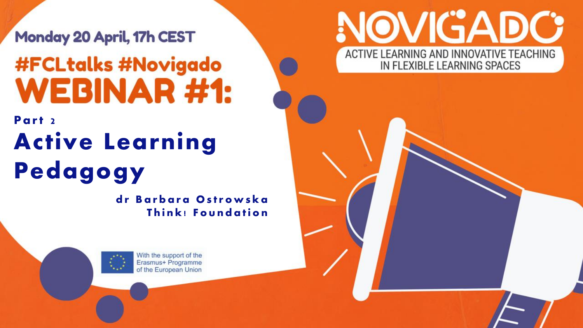Monday 20 April, 17h CEST **#FCLtalks #Novigado WEBINAR#1:** 

#### Part 2 Active Learning Pedagogy

dr Barbara Ostrowska Think! Foundation



With the support of the Erasmus+ Programme of the European Union

#### NOVIGADC ACTIVE LEARNING AND INNOVATIVE TEACHING IN FLEXIBLE LEARNING SPACES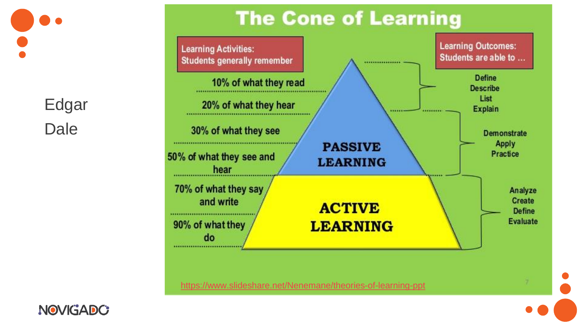Edgar Dale





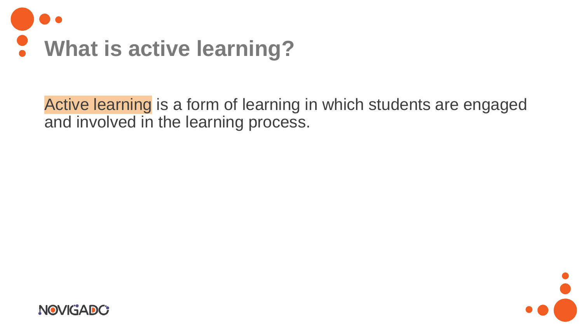

Active learning is a form of learning in which students are engaged and involved in the learning process.



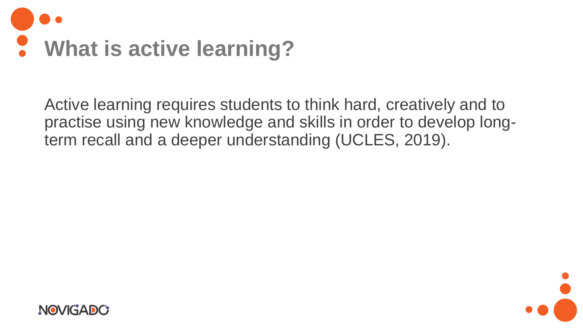

Active learning requires students to think hard, creatively and to practise using new knowledge and skills in order to develop longterm recall and a deeper understanding (UCLES, 2019).



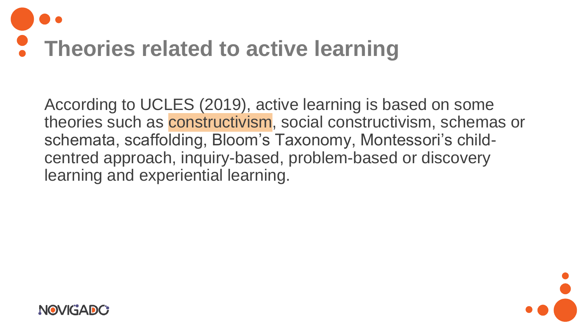

According to UCLES (2019), active learning is based on some theories such as constructivism, social constructivism, schemas or schemata, scaffolding, Bloom's Taxonomy, Montessori's childcentred approach, inquiry-based, problem-based or discovery learning and experiential learning.



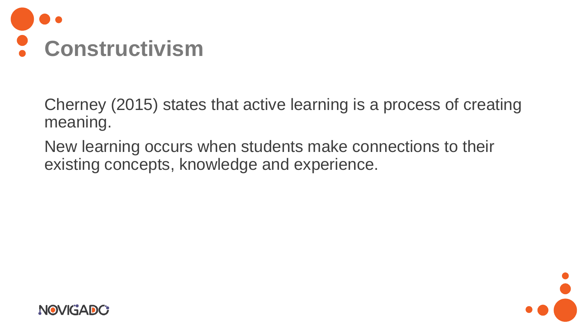

Cherney (2015) states that active learning is a process of creating meaning.

New learning occurs when students make connections to their existing concepts, knowledge and experience.



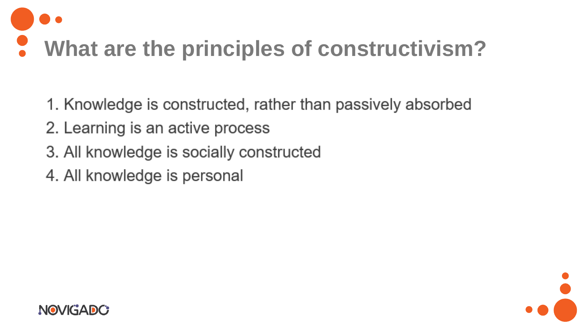# **What are the principles of constructivism?**

1. Knowledge is constructed, rather than passively absorbed

- 2. Learning is an active process
- 3. All knowledge is socially constructed
- 4. All knowledge is personal



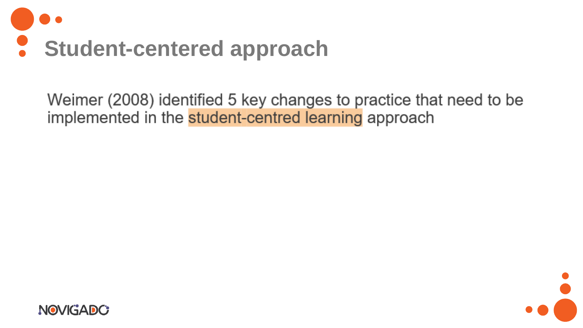

Weimer (2008) identified 5 key changes to practice that need to be implemented in the student-centred learning approach



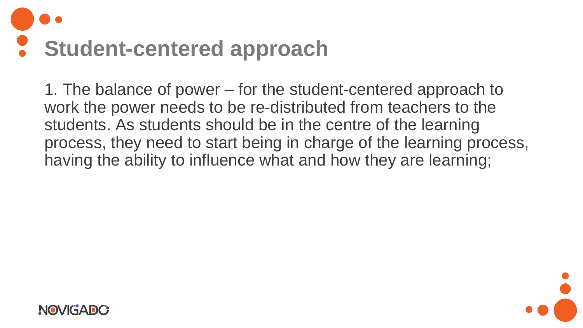# **Student-centered approach**

1. The balance of power – for the student-centered approach to work the power needs to be re-distributed from teachers to the students. As students should be in the centre of the learning process, they need to start being in charge of the learning process, having the ability to influence what and how they are learning;



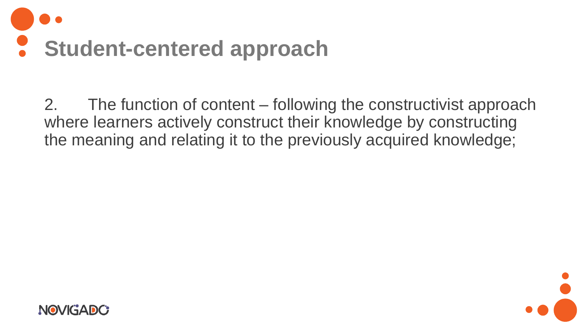

2. The function of content – following the constructivist approach where learners actively construct their knowledge by constructing the meaning and relating it to the previously acquired knowledge;



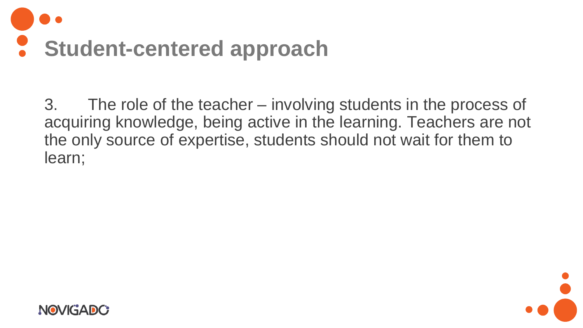

3. The role of the teacher – involving students in the process of acquiring knowledge, being active in the learning. Teachers are not the only source of expertise, students should not wait for them to learn;



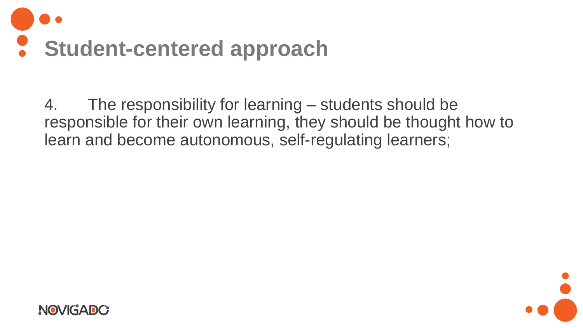

4. The responsibility for learning – students should be responsible for their own learning, they should be thought how to learn and become autonomous, self-regulating learners;



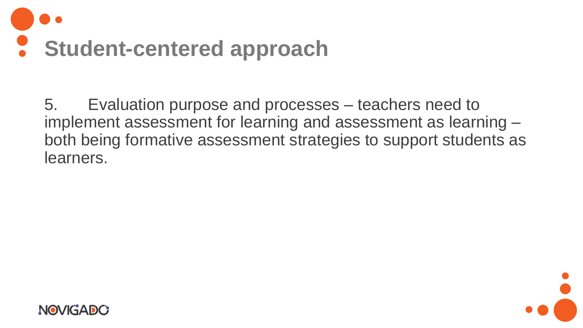

5. Evaluation purpose and processes – teachers need to implement assessment for learning and assessment as learning – both being formative assessment strategies to support students as learners.



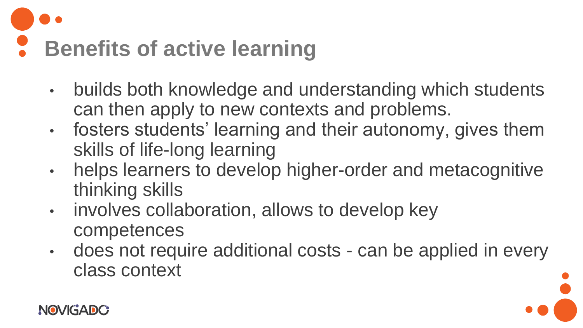# **Benefits of active learning**

- builds both knowledge and understanding which students can then apply to new contexts and problems.
- fosters students' learning and their autonomy, gives them skills of life-long learning
- helps learners to develop higher-order and metacognitive thinking skills
- involves collaboration, allows to develop key competences
- does not require additional costs can be applied in every class context

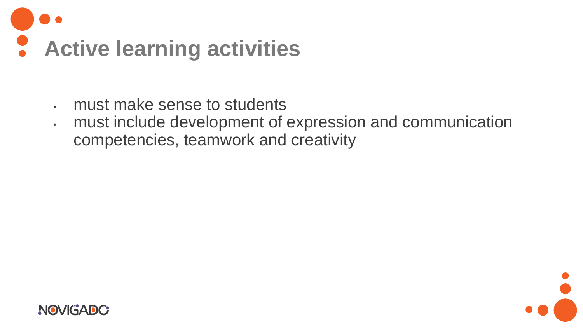

- must make sense to students
- must include development of expression and communication competencies, teamwork and creativity



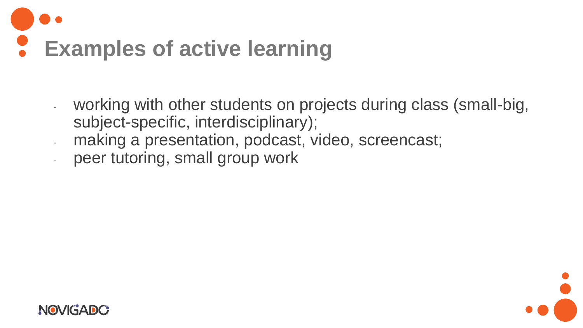

- working with other students on projects during class (small-big, subject-specific, interdisciplinary);
- making a presentation, podcast, video, screencast;
- peer tutoring, small group work



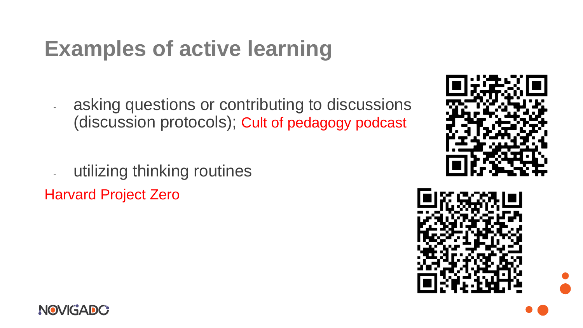#### **Examples of active learning**

- asking questions or contributing to discussions (discussion protocols); Cult of pedagogy podcast

- utilizing thinking routines Harvard Project Zero





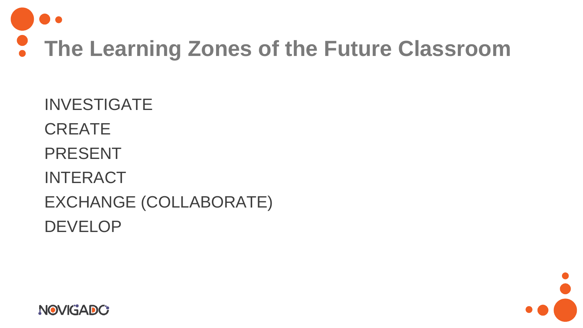

INVESTIGATE **CREATE** PRESENT INTERACT EXCHANGE (COLLABORATE) DEVELOP